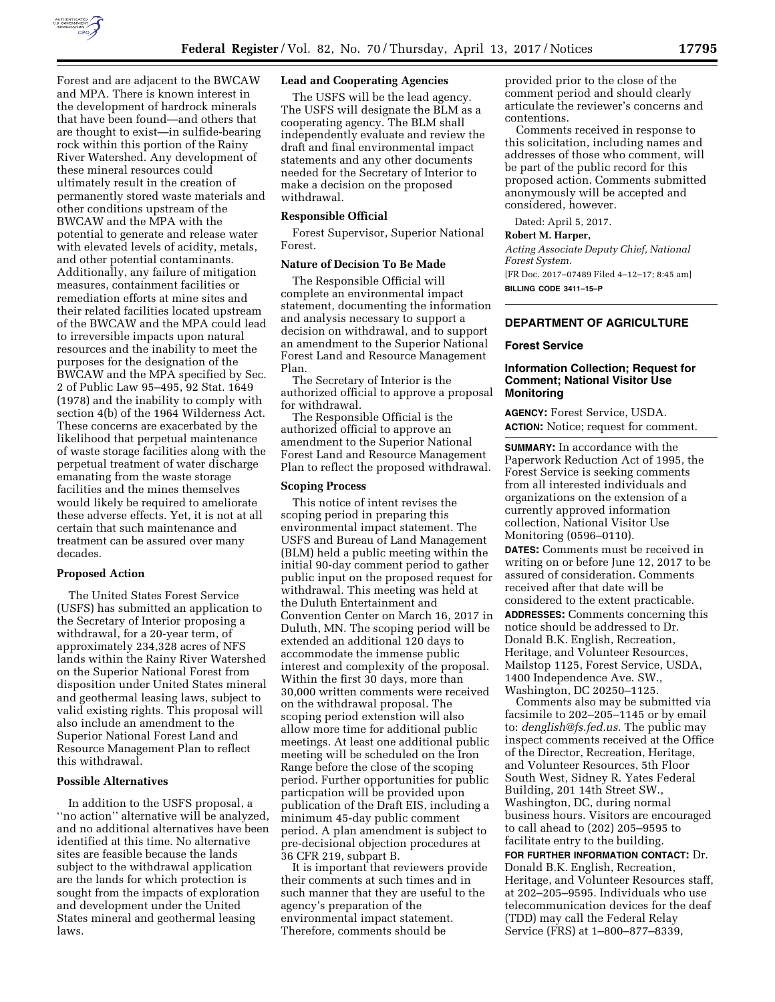

Forest and are adjacent to the BWCAW and MPA. There is known interest in the development of hardrock minerals that have been found—and others that are thought to exist—in sulfide-bearing rock within this portion of the Rainy River Watershed. Any development of these mineral resources could ultimately result in the creation of permanently stored waste materials and other conditions upstream of the BWCAW and the MPA with the potential to generate and release water with elevated levels of acidity, metals, and other potential contaminants. Additionally, any failure of mitigation measures, containment facilities or remediation efforts at mine sites and their related facilities located upstream of the BWCAW and the MPA could lead to irreversible impacts upon natural resources and the inability to meet the purposes for the designation of the BWCAW and the MPA specified by Sec. 2 of Public Law 95–495, 92 Stat. 1649 (1978) and the inability to comply with section 4(b) of the 1964 Wilderness Act. These concerns are exacerbated by the likelihood that perpetual maintenance of waste storage facilities along with the perpetual treatment of water discharge emanating from the waste storage facilities and the mines themselves would likely be required to ameliorate these adverse effects. Yet, it is not at all certain that such maintenance and treatment can be assured over many decades.

### **Proposed Action**

The United States Forest Service (USFS) has submitted an application to the Secretary of Interior proposing a withdrawal, for a 20-year term, of approximately 234,328 acres of NFS lands within the Rainy River Watershed on the Superior National Forest from disposition under United States mineral and geothermal leasing laws, subject to valid existing rights. This proposal will also include an amendment to the Superior National Forest Land and Resource Management Plan to reflect this withdrawal.

### **Possible Alternatives**

In addition to the USFS proposal, a "no action" alternative will be analyzed, and no additional alternatives have been identified at this time. No alternative sites are feasible because the lands subject to the withdrawal application are the lands for which protection is sought from the impacts of exploration and development under the United States mineral and geothermal leasing laws.

### **Lead and Cooperating Agencies**

The USFS will be the lead agency. The USFS will designate the BLM as a cooperating agency. The BLM shall independently evaluate and review the draft and final environmental impact statements and any other documents needed for the Secretary of Interior to make a decision on the proposed withdrawal.

### **Responsible Official**

Forest Supervisor, Superior National Forest.

#### **Nature of Decision To Be Made**

The Responsible Official will complete an environmental impact statement, documenting the information and analysis necessary to support a decision on withdrawal, and to support an amendment to the Superior National Forest Land and Resource Management Plan.

The Secretary of Interior is the authorized official to approve a proposal for withdrawal.

The Responsible Official is the authorized official to approve an amendment to the Superior National Forest Land and Resource Management Plan to reflect the proposed withdrawal.

#### **Scoping Process**

This notice of intent revises the scoping period in preparing this environmental impact statement. The USFS and Bureau of Land Management (BLM) held a public meeting within the initial 90-day comment period to gather public input on the proposed request for withdrawal. This meeting was held at the Duluth Entertainment and Convention Center on March 16, 2017 in Duluth, MN. The scoping period will be extended an additional 120 days to accommodate the immense public interest and complexity of the proposal. Within the first 30 days, more than 30,000 written comments were received on the withdrawal proposal. The scoping period extenstion will also allow more time for additional public meetings. At least one additional public meeting will be scheduled on the Iron Range before the close of the scoping period. Further opportunities for public particpation will be provided upon publication of the Draft EIS, including a minimum 45-day public comment period. A plan amendment is subject to pre-decisional objection procedures at 36 CFR 219, subpart B.

It is important that reviewers provide their comments at such times and in such manner that they are useful to the agency's preparation of the environmental impact statement. Therefore, comments should be

provided prior to the close of the comment period and should clearly articulate the reviewer's concerns and contentions.

Comments received in response to this solicitation, including names and addresses of those who comment, will be part of the public record for this proposed action. Comments submitted anonymously will be accepted and considered, however.

Dated: April 5, 2017.

#### **Robert M. Harper,**

*Acting Associate Deputy Chief, National Forest System.* 

[FR Doc. 2017–07489 Filed 4–12–17; 8:45 am] **BILLING CODE 3411–15–P** 

### **DEPARTMENT OF AGRICULTURE**

### **Forest Service**

# **Information Collection; Request for Comment; National Visitor Use Monitoring**

**AGENCY:** Forest Service, USDA. **ACTION:** Notice; request for comment.

**SUMMARY:** In accordance with the Paperwork Reduction Act of 1995, the Forest Service is seeking comments from all interested individuals and organizations on the extension of a currently approved information collection, National Visitor Use Monitoring (0596–0110).

**DATES:** Comments must be received in writing on or before June 12, 2017 to be assured of consideration. Comments received after that date will be considered to the extent practicable. **ADDRESSES:** Comments concerning this notice should be addressed to Dr. Donald B.K. English, Recreation, Heritage, and Volunteer Resources, Mailstop 1125, Forest Service, USDA, 1400 Independence Ave. SW., Washington, DC 20250–1125.

Comments also may be submitted via facsimile to 202–205–1145 or by email to: *[denglish@fs.fed.us.](mailto:denglish@fs.fed.us)* The public may inspect comments received at the Office of the Director, Recreation, Heritage, and Volunteer Resources, 5th Floor South West, Sidney R. Yates Federal Building, 201 14th Street SW., Washington, DC, during normal business hours. Visitors are encouraged to call ahead to (202) 205–9595 to facilitate entry to the building.

**FOR FURTHER INFORMATION CONTACT:** Dr. Donald B.K. English, Recreation, Heritage, and Volunteer Resources staff, at 202–205–9595. Individuals who use telecommunication devices for the deaf (TDD) may call the Federal Relay Service (FRS) at 1–800–877–8339,